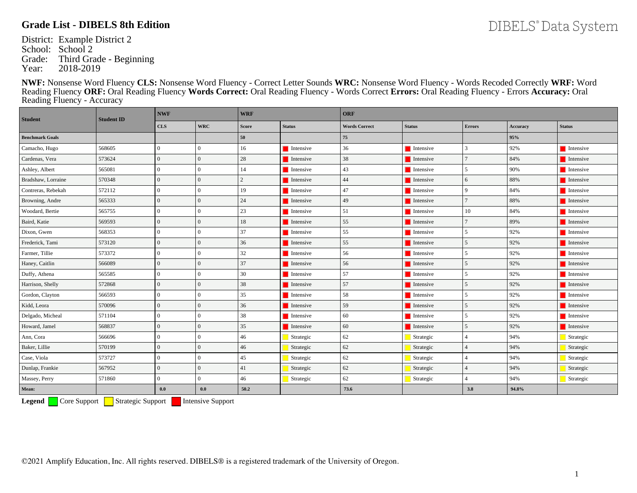District: Example District 2 School: School 2 Grade: Third Grade - Beginning<br>Year: 2018-2019 2018-2019

**NWF:** Nonsense Word Fluency **CLS:** Nonsense Word Fluency - Correct Letter Sounds **WRC:** Nonsense Word Fluency - Words Recoded Correctly **WRF:** Word Reading Fluency **ORF:** Oral Reading Fluency **Words Correct:** Oral Reading Fluency - Words Correct **Errors:** Oral Reading Fluency - Errors **Accuracy:** Oral Reading Fluency - Accuracy

| <b>Student</b>         | <b>Student ID</b> | <b>NWF</b>     |                | <b>WRF</b>   |                          | ORF                  |                          |                |          |                          |  |
|------------------------|-------------------|----------------|----------------|--------------|--------------------------|----------------------|--------------------------|----------------|----------|--------------------------|--|
|                        |                   | <b>CLS</b>     | <b>WRC</b>     | <b>Score</b> | <b>Status</b>            | <b>Words Correct</b> | <b>Status</b>            | <b>Errors</b>  | Accuracy | <b>Status</b>            |  |
| <b>Benchmark Goals</b> |                   |                |                | 50           |                          | 75                   |                          |                | 95%      |                          |  |
| Camacho, Hugo          | 568605            | $\theta$       | $\Omega$       | 16           | $\blacksquare$ Intensive | 36                   | $\blacksquare$ Intensive | 3              | 92%      | $\blacksquare$ Intensive |  |
| Cardenas, Vera         | 573624            | $\mathbf{0}$   | $\overline{0}$ | 28           | $\blacksquare$ Intensive | 38                   | $\blacksquare$ Intensive |                | 84%      | $\blacksquare$ Intensive |  |
| Ashley, Albert         | 565081            | $\theta$       | $\overline{0}$ | 14           | Intensive                | 43                   | Intensive                | 5              | 90%      | Intensive                |  |
| Bradshaw, Lorraine     | 570348            | $\Omega$       | $\Omega$       |              | <b>Intensive</b>         | 44                   | Intensive                | 6              | 88%      | $\blacksquare$ Intensive |  |
| Contreras, Rebekah     | 572112            | $\mathbf{0}$   | $\theta$       | 19           | <b>Intensive</b>         | 47                   | $\blacksquare$ Intensive | 9              | 84%      | $\blacksquare$ Intensive |  |
| Browning, Andre        | 565333            | $\Omega$       | $\Omega$       | 24           | <b>I</b> Intensive       | 49                   | $\blacksquare$ Intensive | $\overline{7}$ | 88%      | $\blacksquare$ Intensive |  |
| Woodard, Bertie        | 565755            | $\mathbf{0}$   | $\overline{0}$ | 23           | $\blacksquare$ Intensive | 51                   | $\blacksquare$ Intensive | 10             | 84%      | $\blacksquare$ Intensive |  |
| Baird, Katie           | 569593            | $\mathbf{0}$   | $\overline{0}$ | 18           | $\blacksquare$ Intensive | 55                   | $\blacksquare$ Intensive | $\overline{7}$ | 89%      | <b>I</b> Intensive       |  |
| Dixon, Gwen            | 568353            | $\theta$       | $\overline{0}$ | 37           | $\blacksquare$ Intensive | 55                   | $\blacksquare$ Intensive | 5              | 92%      | Intensive                |  |
| Frederick, Tami        | 573120            | $\mathbf{0}$   | $\overline{0}$ | 36           | $\blacksquare$ Intensive | 55                   | <b>I</b> Intensive       | 5              | 92%      | Intensive                |  |
| Farmer, Tillie         | 573372            | $\theta$       | $\Omega$       | 32           | $\blacksquare$ Intensive | 56                   | $\blacksquare$ Intensive | 5              | 92%      | $\blacksquare$ Intensive |  |
| Haney, Caitlin         | 566089            | $\Omega$       | $\Omega$       | 37           | <b>I</b> Intensive       | 56                   | Intensive                | 5              | 92%      | Intensive                |  |
| Duffy, Athena          | 565585            | $\theta$       | $\theta$       | 30           | $\blacksquare$ Intensive | 57                   | $\blacksquare$ Intensive | 5              | 92%      | $\blacksquare$ Intensive |  |
| Harrison, Shelly       | 572868            | $\mathbf{0}$   | $\overline{0}$ | 38           | $\blacksquare$ Intensive | 57                   | <b>I</b> Intensive       | 5              | 92%      | <b>I</b> Intensive       |  |
| Gordon, Clayton        | 566593            | $\theta$       | $\Omega$       | 35           | <b>Intensive</b>         | 58                   | Intensive                | 5              | 92%      | <b>Intensive</b>         |  |
| Kidd, Leora            | 570096            | $\Omega$       | $\overline{0}$ | 36           | $\blacksquare$ Intensive | 59                   | <b>I</b> Intensive       | 5              | 92%      | $\blacksquare$ Intensive |  |
| Delgado, Micheal       | 571104            | $\overline{0}$ | $\overline{0}$ | 38           | $\blacksquare$ Intensive | 60                   | $\blacksquare$ Intensive | 5              | 92%      | $\blacksquare$ Intensive |  |
| Howard, Jamel          | 568837            | $\Omega$       | $\Omega$       | 35           | <b>Intensive</b>         | 60                   | Intensive                | 5              | 92%      | Intensive                |  |
| Ann, Cora              | 566696            | $\mathbf{0}$   | $\overline{0}$ | 46           | Strategic                | 62                   | Strategic                | $\overline{4}$ | 94%      | Strategic                |  |
| Baker, Lillie          | 570199            | $\theta$       | $\overline{0}$ | 46           | Strategic                | 62                   | Strategic                | $\overline{4}$ | 94%      | Strategic                |  |
| Case, Viola            | 573727            | $\Omega$       | $\theta$       | 45           | Strategic                | 62                   | Strategic                |                | 94%      | Strategic                |  |
| Dunlap, Frankie        | 567952            | $\mathbf{0}$   | $\Omega$       | 41           | Strategic                | 62                   | Strategic                | $\Delta$       | 94%      | Strategic                |  |
| Massey, Perry          | 571860            | $\Omega$       | $\Omega$       | 46           | Strategic                | 62                   | Strategic                |                | 94%      | Strategic                |  |
| Mean:                  |                   | 0.0            | 0.0            | 50.2         |                          | 73.6                 |                          | 3.8            | 94.8%    |                          |  |

**Legend** Core Support Strategic Support Intensive Support

DIBELS® Data System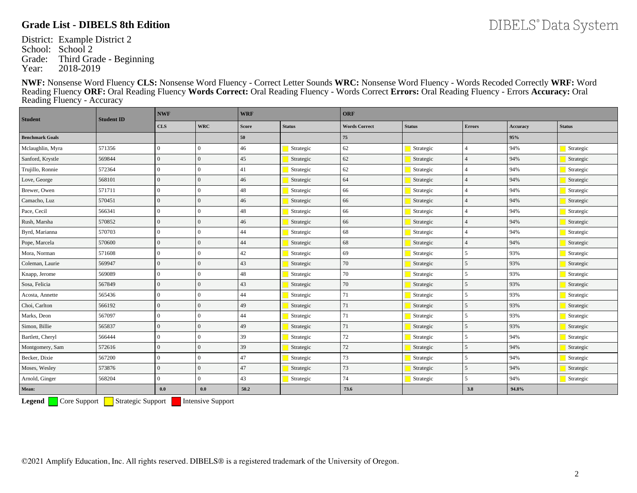District: Example District 2 School: School 2 Grade: Third Grade - Beginning<br>Year: 2018-2019 2018-2019

**NWF:** Nonsense Word Fluency **CLS:** Nonsense Word Fluency - Correct Letter Sounds **WRC:** Nonsense Word Fluency - Words Recoded Correctly **WRF:** Word Reading Fluency **ORF:** Oral Reading Fluency **Words Correct:** Oral Reading Fluency - Words Correct **Errors:** Oral Reading Fluency - Errors **Accuracy:** Oral Reading Fluency - Accuracy

| <b>Student</b>         | <b>Student ID</b> | <b>NWF</b>     |                | <b>WRF</b>   |               | <b>ORF</b>           |               |                |                 |               |  |
|------------------------|-------------------|----------------|----------------|--------------|---------------|----------------------|---------------|----------------|-----------------|---------------|--|
|                        |                   | $cls$          | <b>WRC</b>     | <b>Score</b> | <b>Status</b> | <b>Words Correct</b> | <b>Status</b> | <b>Errors</b>  | <b>Accuracy</b> | <b>Status</b> |  |
| <b>Benchmark Goals</b> |                   |                |                | 50           |               | 75                   |               |                | 95%             |               |  |
| Mclaughlin, Myra       | 571356            | $\theta$       | $\theta$       | 46           | Strategic     | 62                   | Strategic     | $\Delta$       | 94%             | Strategic     |  |
| Sanford, Krystle       | 569844            | $\Omega$       | $\overline{0}$ | 45           | Strategic     | 62                   | Strategic     |                | 94%             | Strategic     |  |
| Trujillo, Ronnie       | 572364            | $\overline{0}$ | $\overline{0}$ | 41           | Strategic     | 62                   | Strategic     |                | 94%             | Strategic     |  |
| Love, George           | 568101            | $\Omega$       | $\Omega$       | 46           | Strategic     | 64                   | Strategic     |                | 94%             | Strategic     |  |
| Brewer, Owen           | 571711            | $\mathbf{0}$   | $\theta$       | 48           | Strategic     | 66                   | Strategic     |                | 94%             | Strategic     |  |
| Camacho, Luz           | 570451            | $\Omega$       | $\overline{0}$ | 46           | Strategic     | 66                   | Strategic     |                | 94%             | Strategic     |  |
| Pace, Cecil            | 566341            | $\overline{0}$ | $\Omega$       | 48           | Strategic     | 66                   | Strategic     |                | 94%             | Strategic     |  |
| Rush, Marsha           | 570852            | $\Omega$       | $\Omega$       | 46           | Strategic     | 66                   | Strategic     |                | 94%             | Strategic     |  |
| Byrd, Marianna         | 570703            | $\Omega$       | $\overline{0}$ | 44           | Strategic     | 68                   | Strategic     |                | 94%             | Strategic     |  |
| Pope, Marcela          | 570600            | $\Omega$       | $\overline{0}$ | 44           | Strategic     | 68                   | Strategic     |                | 94%             | Strategic     |  |
| Mora, Norman           | 571608            | $\Omega$       | $\Omega$       | 42           | Strategic     | 69                   | Strategic     | $\overline{5}$ | 93%             | Strategic     |  |
| Coleman, Laurie        | 569947            | $\Omega$       | $\overline{0}$ | 43           | Strategic     | 70                   | Strategic     | $\overline{5}$ | 93%             | Strategic     |  |
| Knapp, Jerome          | 569089            | $\theta$       | $\theta$       | 48           | Strategic     | 70                   | Strategic     | $\mathfrak{F}$ | 93%             | Strategic     |  |
| Sosa, Felicia          | 567849            | $\Omega$       | $\overline{0}$ | 43           | Strategic     | 70                   | Strategic     | $\overline{5}$ | 93%             | Strategic     |  |
| Acosta, Annette        | 565436            | $\overline{0}$ | $\theta$       | 44           | Strategic     | 71                   | Strategic     | 5              | 93%             | Strategic     |  |
| Choi, Carlton          | 566192            | $\Omega$       | $\overline{0}$ | 49           | Strategic     | 71                   | Strategic     | 5              | 93%             | Strategic     |  |
| Marks, Deon            | 567097            | $\overline{0}$ | $\overline{0}$ | 44           | Strategic     | 71                   | Strategic     | 5              | 93%             | Strategic     |  |
| Simon, Billie          | 565837            | $\overline{0}$ | $\theta$       | 49           | Strategic     | 71                   | Strategic     | $\overline{5}$ | 93%             | Strategic     |  |
| Bartlett, Cheryl       | 566444            | $\overline{0}$ | $\overline{0}$ | 39           | Strategic     | 72                   | Strategic     | 5              | 94%             | Strategic     |  |
| Montgomery, Sam        | 572616            | $\Omega$       | $\overline{0}$ | 39           | Strategic     | 72                   | Strategic     | $\overline{5}$ | 94%             | Strategic     |  |
| Becker, Dixie          | 567200            | $\Omega$       | $\overline{0}$ | 47           | Strategic     | 73                   | Strategic     | $\mathfrak{F}$ | 94%             | Strategic     |  |
| Moses, Wesley          | 573876            | $\Omega$       | $\Omega$       | 47           | Strategic     | 73                   | Strategic     | $\overline{5}$ | 94%             | Strategic     |  |
| Arnold, Ginger         | 568204            | $\Omega$       | $\Omega$       | 43           | Strategic     | 74                   | Strategic     | $\mathfrak{F}$ | 94%             | Strategic     |  |
| Mean:                  |                   | 0.0            | $\mathbf{0.0}$ | 50.2         |               | 73.6                 |               | 3.8            | 94.8%           |               |  |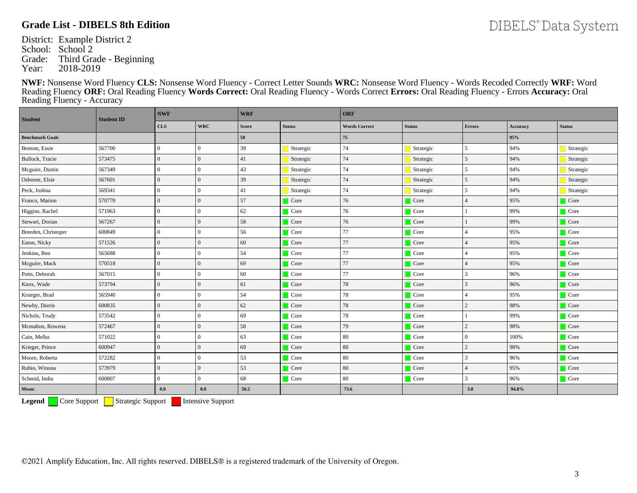District: Example District 2 School: School 2 Grade: Third Grade - Beginning<br>Year: 2018-2019 2018-2019

**NWF:** Nonsense Word Fluency **CLS:** Nonsense Word Fluency - Correct Letter Sounds **WRC:** Nonsense Word Fluency - Words Recoded Correctly **WRF:** Word Reading Fluency **ORF:** Oral Reading Fluency **Words Correct:** Oral Reading Fluency - Words Correct **Errors:** Oral Reading Fluency - Errors **Accuracy:** Oral Reading Fluency - Accuracy

| <b>Student</b>         | <b>Student ID</b> | <b>NWF</b>     |                | <b>WRF</b>   |               | ORF                  |               |                |          |                     |  |
|------------------------|-------------------|----------------|----------------|--------------|---------------|----------------------|---------------|----------------|----------|---------------------|--|
|                        |                   | $cls$          | <b>WRC</b>     | <b>Score</b> | <b>Status</b> | <b>Words Correct</b> | <b>Status</b> | <b>Errors</b>  | Accuracy | <b>Status</b>       |  |
| <b>Benchmark Goals</b> |                   |                |                | 50           |               | 75                   |               |                | 95%      |                     |  |
| Benson, Essie          | 567700            | $\overline{0}$ | $\overline{0}$ | 39           | Strategic     | 74                   | Strategic     | 5              | 94%      | Strategic           |  |
| Bullock, Tracie        | 573475            | $\Omega$       | $\overline{0}$ | 41           | Strategic     | 74                   | Strategic     | 5              | 94%      | Strategic           |  |
| Mcguire, Dustin        | 567349            | $\overline{0}$ | $\overline{0}$ | 43           | Strategic     | 74                   | Strategic     | 5              | 94%      | Strategic           |  |
| Osborne, Elsie         | 567601            | $\overline{0}$ | $\theta$       | 39           | Strategic     | 74                   | Strategic     | 5              | 94%      | Strategic           |  |
| Peck, Joshua           | 569341            | $\overline{0}$ | $\overline{0}$ | 41           | Strategic     | 74                   | Strategic     | 5              | 94%      | Strategic           |  |
| Franco, Marion         | 570770            | $\Omega$       | $\overline{0}$ | 57           | $\Box$ Core   | 76                   | $\Box$ Core   | 4              | 95%      | Core                |  |
| Higgins, Rachel        | 571963            | $\theta$       | $\overline{0}$ | 62           | Core          | 76                   | $\Box$ Core   |                | 99%      | $\Box$ Core         |  |
| Stewart, Dorian        | 567267            | $\Omega$       | $\overline{0}$ | 58           | $\Box$ Core   | 76                   | Core          |                | 99%      | Core                |  |
| Breeden, Christoper    | 600849            | $\theta$       | $\overline{0}$ | 56           | $\Box$ Core   | 77                   | $\Box$ Core   |                | 95%      | $\Box$ Core         |  |
| Eaton, Nicky           | 571526            | $\Omega$       | $\overline{0}$ | 60           | $\Box$ Core   | 77                   | $\Box$ Core   |                | 95%      | Core                |  |
| Jenkins, Ben           | 565688            | $\theta$       | $\Omega$       | 54           | Core          | 77                   | $\Box$ Core   |                | 95%      | $\Box$ Core         |  |
| Mcguire, Mack          | 570518            | $\overline{0}$ | $\overline{0}$ | 69           | $\Box$ Core   | 77                   | $\Box$ Core   |                | 95%      | Core                |  |
| Potts, Deborah         | 567015            | $\overline{0}$ | $\mathbf{0}$   | 60           | $\Box$ Core   | 77                   | <b>Core</b>   | 3              | 96%      | $\Box$ Core         |  |
| Knox, Wade             | 573794            | $\Omega$       | $\overline{0}$ | 61           | $\Box$ Core   | 78                   | $\Box$ Core   | 3              | 96%      | Core                |  |
| Krueger, Brad          | 565940            | $\theta$       | $\mathbf{0}$   | 54           | $\Box$ Core   | 78                   | $\Box$ Core   |                | 95%      | $\Box$ Core         |  |
| Newby, Dorris          | 600835            | $\Omega$       | $\overline{0}$ | 62           | $\Box$ Core   | 78                   | $\Box$ Core   | $\overline{c}$ | 98%      | $\Box$ Core         |  |
| Nichols, Trudy         | 573542            | $\overline{0}$ | $\overline{0}$ | 69           | $\Box$ Core   | 78                   | <b>Core</b>   |                | 99%      | $\Box$ Core         |  |
| Mcmahon, Rowena        | 572467            | $\theta$       | $\Omega$       | 58           | $\Box$ Core   | 79                   | $\Box$ Core   | $\overline{c}$ | 98%      | $\Box$ Core         |  |
| Cain, Melba            | 571022            | $\overline{0}$ | $\overline{0}$ | 63           | $\Box$ Core   | 80                   | $\Box$ Core   | $\overline{0}$ | 100%     | $\Box$ Core         |  |
| Krieger, Prince        | 600947            | $\overline{0}$ | $\overline{0}$ | 69           | $\Box$ Core   | 80                   | $\Box$ Core   | $\overline{c}$ | 98%      | $\Box$ Core         |  |
| Moore, Roberta         | 572282            | $\Omega$       | $\overline{0}$ | 53           | Core          | 80                   | $\Box$ Core   | 3              | 96%      | $\Box$ Core         |  |
| Rubio, Winona          | 573979            | $\overline{0}$ | $\overline{0}$ | 53           | $\Box$ Core   | 80                   | $\Box$ Core   | 4              | 95%      | $\blacksquare$ Core |  |
| Schmid, India          | 600807            | $\overline{0}$ | $\overline{0}$ | 68           | $\Box$ Core   | 80                   | $\Box$ Core   | 3              | 96%      | $\Box$ Core         |  |
| Mean:                  |                   | 0.0            | 0.0            | 50.2         |               | 73.6                 |               | 3.8            | 94.8%    |                     |  |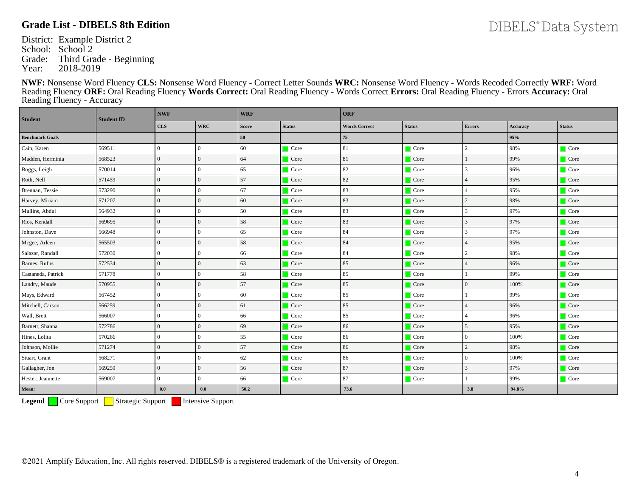DIBELS® Data System

District: Example District 2 School: School 2 Grade: Third Grade - Beginning<br>Year: 2018-2019 2018-2019

**NWF:** Nonsense Word Fluency **CLS:** Nonsense Word Fluency - Correct Letter Sounds **WRC:** Nonsense Word Fluency - Words Recoded Correctly **WRF:** Word Reading Fluency **ORF:** Oral Reading Fluency **Words Correct:** Oral Reading Fluency - Words Correct **Errors:** Oral Reading Fluency - Errors **Accuracy:** Oral Reading Fluency - Accuracy

| <b>Student</b>         | <b>Student ID</b> | <b>NWF</b>     |                | <b>WRF</b>   |               | <b>ORF</b>           |               |                |          |               |  |
|------------------------|-------------------|----------------|----------------|--------------|---------------|----------------------|---------------|----------------|----------|---------------|--|
|                        |                   | <b>CLS</b>     | <b>WRC</b>     | <b>Score</b> | <b>Status</b> | <b>Words Correct</b> | <b>Status</b> | <b>Errors</b>  | Accuracy | <b>Status</b> |  |
| <b>Benchmark Goals</b> |                   |                |                | 50           |               | $\bf 75$             |               |                | 95%      |               |  |
| Cain, Karen            | 569511            | $\overline{0}$ | $\theta$       | 60           | <b>Core</b>   | 81                   | $\Box$ Core   | $\overline{c}$ | 98%      | $\Box$ Core   |  |
| Madden, Herminia       | 568523            | $\overline{0}$ | $\Omega$       | 64           | $\Box$ Core   | 81                   | $\Box$ Core   |                | 99%      | Core          |  |
| Boggs, Leigh           | 570014            | $\overline{0}$ | $\overline{0}$ | 65           | $\Box$ Core   | 82                   | Core          | 3              | 96%      | $\Box$ Core   |  |
| Roth, Nell             | 571459            | $\Omega$       | $\Omega$       | 57           | $\Box$ Core   | 82                   | $\Box$ Core   |                | 95%      | $\Box$ Core   |  |
| Brennan, Tessie        | 573290            | $\overline{0}$ | $\theta$       | 67           | <b>Core</b>   | 83                   | Core          | 4              | 95%      | $\Box$ Core   |  |
| Harvey, Miriam         | 571207            | $\overline{0}$ | $\Omega$       | 60           | $\Box$ Core   | 83                   | Core          | $\overline{c}$ | 98%      | $\Box$ Core   |  |
| Mullins, Abdul         | 564932            | $\overline{0}$ | $\overline{0}$ | 50           | $\Box$ Core   | 83                   | $\Box$ Core   | 3              | 97%      | $\Box$ Core   |  |
| Rios, Kendall          | 569695            | $\overline{0}$ | $\overline{0}$ | 58           | $\Box$ Core   | 83                   | Core          | 3              | 97%      | Core          |  |
| Johnston, Dave         | 566948            | $\Omega$       | $\Omega$       | 65           | $\Box$ Core   | 84                   | $\Box$ Core   | 3              | 97%      | $\Box$ Core   |  |
| Mcgee, Arleen          | 565503            | $\overline{0}$ | $\overline{0}$ | 58           | $\Box$ Core   | 84                   | $\Box$ Core   | 4              | 95%      | Core          |  |
| Salazar, Randall       | 572030            | $\Omega$       | $\Omega$       | 66           | $\Box$ Core   | 84                   | $\Box$ Core   | $\overline{c}$ | 98%      | $\Box$ Core   |  |
| Barnes, Rufus          | 572534            | $\Omega$       | $\Omega$       | 63           | $\Box$ Core   | 85                   | $\Box$ Core   |                | 96%      | $\Box$ Core   |  |
| Castaneda, Patrick     | 571778            | $\Omega$       | $\theta$       | 58           | $\Box$ Core   | 85                   | Core          |                | 99%      | $\Box$ Core   |  |
| Landry, Maude          | 570955            | $\overline{0}$ | $\Omega$       | 57           | $\Box$ Core   | 85                   | $\Box$ Core   | $\overline{0}$ | 100%     | $\Box$ Core   |  |
| Mays, Edward           | 567452            | $\theta$       | $\Omega$       | 60           | $\Box$ Core   | 85                   | Core          |                | 99%      | $\Box$ Core   |  |
| Mitchell, Carson       | 566259            | $\overline{0}$ | $\overline{0}$ | 61           | $\Box$ Core   | 85                   | $\Box$ Core   | $\overline{4}$ | 96%      | $\Box$ Core   |  |
| Wall, Brett            | 566007            | $\overline{0}$ | $\theta$       | 66           | $\Box$ Core   | 85                   | $\Box$ Core   | 4              | 96%      | $\Box$ Core   |  |
| Barnett, Shanna        | 572786            | $\mathbf{0}$   | $\overline{0}$ | 69           | <b>Core</b>   | 86                   | Core          | 5              | 95%      | Core          |  |
| Hines, Lolita          | 570266            | $\Omega$       | $\overline{0}$ | 55           | Core          | 86                   | Core          | $\overline{0}$ | 100%     | $\Box$ Core   |  |
| Johnson, Mollie        | 571274            | $\overline{0}$ | $\overline{0}$ | 57           | $\Box$ Core   | 86                   | Core          | $\overline{c}$ | 98%      | $\Box$ Core   |  |
| Stuart, Grant          | 568271            | $\Omega$       | $\Omega$       | 62           | $\Box$ Core   | 86                   | $\Box$ Core   | $\overline{0}$ | 100%     | $\Box$ Core   |  |
| Gallagher, Jon         | 569259            | $\overline{0}$ | $\overline{0}$ | 56           | $\Box$ Core   | 87                   | $\Box$ Core   | 3              | 97%      | $\Box$ Core   |  |
| Hester, Jeannette      | 569007            | $\Omega$       | $\overline{0}$ | 66           | <b>Core</b>   | 87                   | <b>Core</b>   |                | 99%      | $\Box$ Core   |  |
| Mean:                  |                   | 0.0            | 0.0            | 50.2         |               | 73.6                 |               | 3.8            | 94.8%    |               |  |